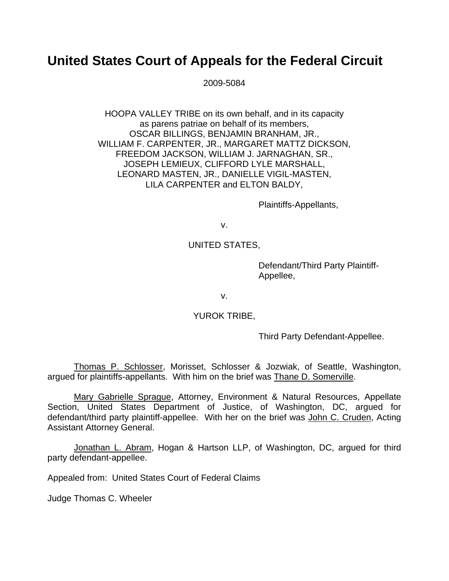# **United States Court of Appeals for the Federal Circuit**

2009-5084

HOOPA VALLEY TRIBE on its own behalf, and in its capacity as parens patriae on behalf of its members, OSCAR BILLINGS, BENJAMIN BRANHAM, JR., WILLIAM F. CARPENTER, JR., MARGARET MATTZ DICKSON, FREEDOM JACKSON, WILLIAM J. JARNAGHAN, SR., JOSEPH LEMIEUX, CLIFFORD LYLE MARSHALL, LEONARD MASTEN, JR., DANIELLE VIGIL-MASTEN, LILA CARPENTER and ELTON BALDY,

Plaintiffs-Appellants,

v.

## UNITED STATES,

Defendant/Third Party Plaintiff-Appellee,

v.

### YUROK TRIBE,

Third Party Defendant-Appellee.

Thomas P. Schlosser, Morisset, Schlosser & Jozwiak, of Seattle, Washington, argued for plaintiffs-appellants. With him on the brief was Thane D. Somerville.

Mary Gabrielle Sprague, Attorney, Environment & Natural Resources, Appellate Section, United States Department of Justice, of Washington, DC, argued for defendant/third party plaintiff-appellee. With her on the brief was John C. Cruden, Acting Assistant Attorney General.

Jonathan L. Abram, Hogan & Hartson LLP, of Washington, DC, argued for third party defendant-appellee.

Appealed from: United States Court of Federal Claims

Judge Thomas C. Wheeler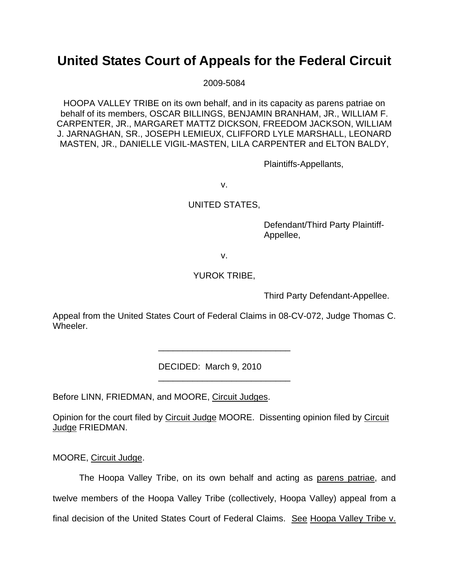# **United States Court of Appeals for the Federal Circuit**

2009-5084

HOOPA VALLEY TRIBE on its own behalf, and in its capacity as parens patriae on behalf of its members, OSCAR BILLINGS, BENJAMIN BRANHAM, JR., WILLIAM F. CARPENTER, JR., MARGARET MATTZ DICKSON, FREEDOM JACKSON, WILLIAM J. JARNAGHAN, SR., JOSEPH LEMIEUX, CLIFFORD LYLE MARSHALL, LEONARD MASTEN, JR., DANIELLE VIGIL-MASTEN, LILA CARPENTER and ELTON BALDY,

Plaintiffs-Appellants,

v.

## UNITED STATES,

Defendant/Third Party Plaintiff-Appellee,

v.

## YUROK TRIBE,

Third Party Defendant-Appellee.

Appeal from the United States Court of Federal Claims in 08-CV-072, Judge Thomas C. Wheeler.

\_\_\_\_\_\_\_\_\_\_\_\_\_\_\_\_\_\_\_\_\_\_\_\_\_\_\_

\_\_\_\_\_\_\_\_\_\_\_\_\_\_\_\_\_\_\_\_\_\_\_\_\_\_\_

DECIDED: March 9, 2010

Before LINN, FRIEDMAN, and MOORE, Circuit Judges.

Opinion for the court filed by Circuit Judge MOORE. Dissenting opinion filed by Circuit Judge FRIEDMAN.

MOORE, Circuit Judge.

The Hoopa Valley Tribe, on its own behalf and acting as parens patriae, and twelve members of the Hoopa Valley Tribe (collectively, Hoopa Valley) appeal from a final decision of the United States Court of Federal Claims. See Hoopa Valley Tribe v.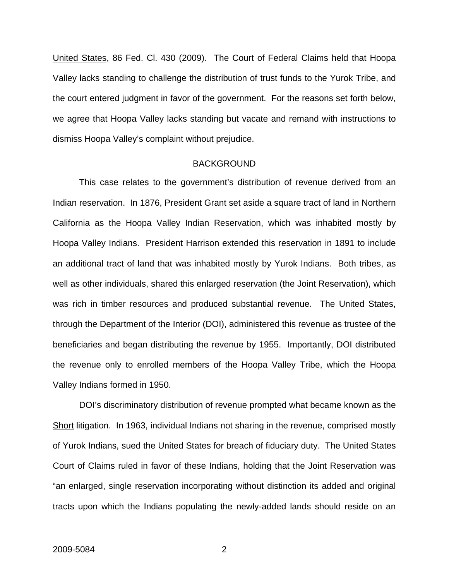United States, 86 Fed. Cl. 430 (2009). The Court of Federal Claims held that Hoopa Valley lacks standing to challenge the distribution of trust funds to the Yurok Tribe, and the court entered judgment in favor of the government. For the reasons set forth below, we agree that Hoopa Valley lacks standing but vacate and remand with instructions to dismiss Hoopa Valley's complaint without prejudice.

#### BACKGROUND

This case relates to the government's distribution of revenue derived from an Indian reservation. In 1876, President Grant set aside a square tract of land in Northern California as the Hoopa Valley Indian Reservation, which was inhabited mostly by Hoopa Valley Indians. President Harrison extended this reservation in 1891 to include an additional tract of land that was inhabited mostly by Yurok Indians. Both tribes, as well as other individuals, shared this enlarged reservation (the Joint Reservation), which was rich in timber resources and produced substantial revenue. The United States, through the Department of the Interior (DOI), administered this revenue as trustee of the beneficiaries and began distributing the revenue by 1955. Importantly, DOI distributed the revenue only to enrolled members of the Hoopa Valley Tribe, which the Hoopa Valley Indians formed in 1950.

DOI's discriminatory distribution of revenue prompted what became known as the Short litigation. In 1963, individual Indians not sharing in the revenue, comprised mostly of Yurok Indians, sued the United States for breach of fiduciary duty. The United States Court of Claims ruled in favor of these Indians, holding that the Joint Reservation was "an enlarged, single reservation incorporating without distinction its added and original tracts upon which the Indians populating the newly-added lands should reside on an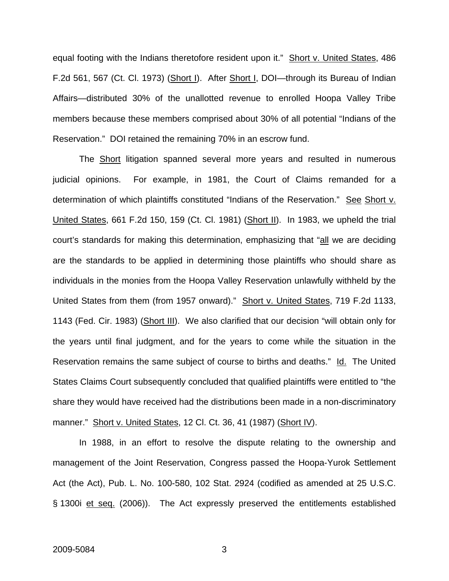equal footing with the Indians theretofore resident upon it." Short v. United States, 486 F.2d 561, 567 (Ct. Cl. 1973) (Short I). After Short I, DOI—through its Bureau of Indian Affairs—distributed 30% of the unallotted revenue to enrolled Hoopa Valley Tribe members because these members comprised about 30% of all potential "Indians of the Reservation." DOI retained the remaining 70% in an escrow fund.

The Short litigation spanned several more years and resulted in numerous judicial opinions. For example, in 1981, the Court of Claims remanded for a determination of which plaintiffs constituted "Indians of the Reservation." See Short v. United States, 661 F.2d 150, 159 (Ct. Cl. 1981) (Short II). In 1983, we upheld the trial court's standards for making this determination, emphasizing that "all we are deciding are the standards to be applied in determining those plaintiffs who should share as individuals in the monies from the Hoopa Valley Reservation unlawfully withheld by the United States from them (from 1957 onward)." Short v. United States, 719 F.2d 1133, 1143 (Fed. Cir. 1983) (Short III). We also clarified that our decision "will obtain only for the years until final judgment, and for the years to come while the situation in the Reservation remains the same subject of course to births and deaths." Id. The United States Claims Court subsequently concluded that qualified plaintiffs were entitled to "the share they would have received had the distributions been made in a non-discriminatory manner." Short v. United States, 12 Cl. Ct. 36, 41 (1987) (Short IV).

In 1988, in an effort to resolve the dispute relating to the ownership and management of the Joint Reservation, Congress passed the Hoopa-Yurok Settlement Act (the Act), Pub. L. No. 100-580, 102 Stat. 2924 (codified as amended at 25 U.S.C. § 1300i et seq. (2006)). The Act expressly preserved the entitlements established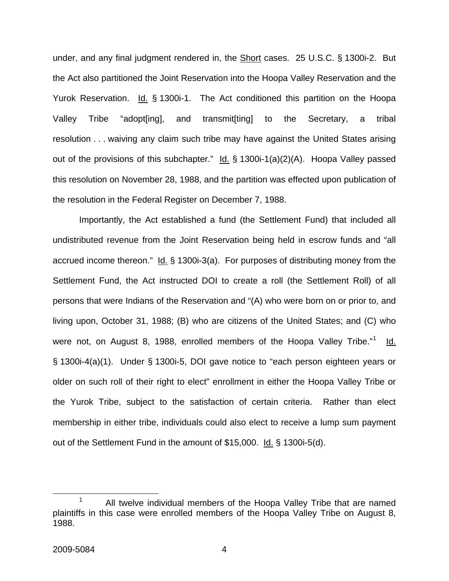under, and any final judgment rendered in, the Short cases. 25 U.S.C. § 1300i-2. But the Act also partitioned the Joint Reservation into the Hoopa Valley Reservation and the Yurok Reservation. Id. § 1300i-1. The Act conditioned this partition on the Hoopa Valley Tribe "adopt[ing], and transmit[ting] to the Secretary, a tribal resolution . . . waiving any claim such tribe may have against the United States arising out of the provisions of this subchapter."  $\underline{Id.}$  § 1300i-1(a)(2)(A). Hoopa Valley passed this resolution on November 28, 1988, and the partition was effected upon publication of the resolution in the Federal Register on December 7, 1988.

Importantly, the Act established a fund (the Settlement Fund) that included all undistributed revenue from the Joint Reservation being held in escrow funds and "all accrued income thereon."  $Id. \S$  1300i-3(a). For purposes of distributing money from the Settlement Fund, the Act instructed DOI to create a roll (the Settlement Roll) of all persons that were Indians of the Reservation and "(A) who were born on or prior to, and living upon, October 31, 1988; (B) who are citizens of the United States; and (C) who were not, on August 8, [1](#page-4-0)988, enrolled members of the Hoopa Valley Tribe."<sup>1</sup> ld. § 1300i-4(a)(1). Under § 1300i-5, DOI gave notice to "each person eighteen years or older on such roll of their right to elect" enrollment in either the Hoopa Valley Tribe or the Yurok Tribe, subject to the satisfaction of certain criteria. Rather than elect membership in either tribe, individuals could also elect to receive a lump sum payment out of the Settlement Fund in the amount of \$15,000. Id. § 1300i-5(d).

<span id="page-4-0"></span> <sup>1</sup> <sup>1</sup> All twelve individual members of the Hoopa Valley Tribe that are named plaintiffs in this case were enrolled members of the Hoopa Valley Tribe on August 8, 1988.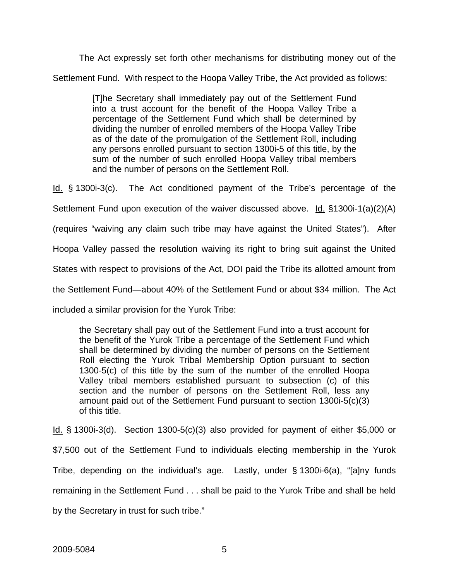The Act expressly set forth other mechanisms for distributing money out of the Settlement Fund. With respect to the Hoopa Valley Tribe, the Act provided as follows:

> [T]he Secretary shall immediately pay out of the Settlement Fund into a trust account for the benefit of the Hoopa Valley Tribe a percentage of the Settlement Fund which shall be determined by dividing the number of enrolled members of the Hoopa Valley Tribe as of the date of the promulgation of the Settlement Roll, including any persons enrolled pursuant to section 1300i-5 of this title, by the sum of the number of such enrolled Hoopa Valley tribal members and the number of persons on the Settlement Roll.

Id. § 1300i-3(c). The Act conditioned payment of the Tribe's percentage of the Settlement Fund upon execution of the waiver discussed above. Id. §1300i-1(a)(2)(A) (requires "waiving any claim such tribe may have against the United States"). After Hoopa Valley passed the resolution waiving its right to bring suit against the United States with respect to provisions of the Act, DOI paid the Tribe its allotted amount from the Settlement Fund—about 40% of the Settlement Fund or about \$34 million. The Act included a similar provision for the Yurok Tribe:

the Secretary shall pay out of the Settlement Fund into a trust account for the benefit of the Yurok Tribe a percentage of the Settlement Fund which shall be determined by dividing the number of persons on the Settlement Roll electing the Yurok Tribal Membership Option pursuant to section 1300-5(c) of this title by the sum of the number of the enrolled Hoopa Valley tribal members established pursuant to subsection (c) of this section and the number of persons on the Settlement Roll, less any amount paid out of the Settlement Fund pursuant to section 1300i-5(c)(3) of this title.

Id. § 1300i-3(d). Section 1300-5(c)(3) also provided for payment of either \$5,000 or \$7,500 out of the Settlement Fund to individuals electing membership in the Yurok Tribe, depending on the individual's age. Lastly, under § 1300i-6(a), "[a]ny funds remaining in the Settlement Fund . . . shall be paid to the Yurok Tribe and shall be held by the Secretary in trust for such tribe."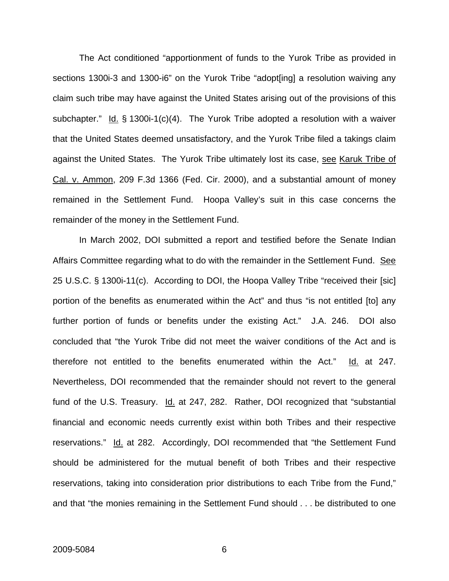The Act conditioned "apportionment of funds to the Yurok Tribe as provided in sections 1300i-3 and 1300-i6" on the Yurok Tribe "adopt [ing] a resolution waiving any claim such tribe may have against the United States arising out of the provisions of this subchapter." Id.  $\S$  1300i-1(c)(4). The Yurok Tribe adopted a resolution with a waiver that the United States deemed unsatisfactory, and the Yurok Tribe filed a takings claim against the United States. The Yurok Tribe ultimately lost its case, see Karuk Tribe of Cal. v. Ammon, 209 F.3d 1366 (Fed. Cir. 2000), and a substantial amount of money remained in the Settlement Fund. Hoopa Valley's suit in this case concerns the remainder of the money in the Settlement Fund.

In March 2002, DOI submitted a report and testified before the Senate Indian Affairs Committee regarding what to do with the remainder in the Settlement Fund. See 25 U.S.C. § 1300i-11(c). According to DOI, the Hoopa Valley Tribe "received their [sic] portion of the benefits as enumerated within the Act" and thus "is not entitled [to] any further portion of funds or benefits under the existing Act." J.A. 246. DOI also concluded that "the Yurok Tribe did not meet the waiver conditions of the Act and is therefore not entitled to the benefits enumerated within the Act." Id. at 247. Nevertheless, DOI recommended that the remainder should not revert to the general fund of the U.S. Treasury. Id. at 247, 282. Rather, DOI recognized that "substantial financial and economic needs currently exist within both Tribes and their respective reservations." Id. at 282. Accordingly, DOI recommended that "the Settlement Fund should be administered for the mutual benefit of both Tribes and their respective reservations, taking into consideration prior distributions to each Tribe from the Fund," and that "the monies remaining in the Settlement Fund should . . . be distributed to one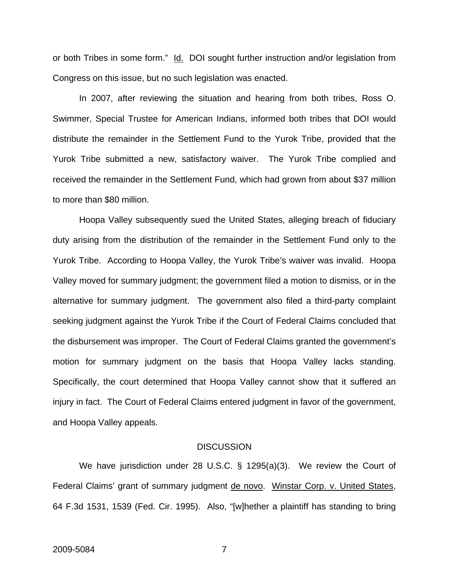or both Tribes in some form." Id. DOI sought further instruction and/or legislation from Congress on this issue, but no such legislation was enacted.

In 2007, after reviewing the situation and hearing from both tribes, Ross O. Swimmer, Special Trustee for American Indians, informed both tribes that DOI would distribute the remainder in the Settlement Fund to the Yurok Tribe, provided that the Yurok Tribe submitted a new, satisfactory waiver. The Yurok Tribe complied and received the remainder in the Settlement Fund, which had grown from about \$37 million to more than \$80 million.

Hoopa Valley subsequently sued the United States, alleging breach of fiduciary duty arising from the distribution of the remainder in the Settlement Fund only to the Yurok Tribe. According to Hoopa Valley, the Yurok Tribe's waiver was invalid. Hoopa Valley moved for summary judgment; the government filed a motion to dismiss, or in the alternative for summary judgment. The government also filed a third-party complaint seeking judgment against the Yurok Tribe if the Court of Federal Claims concluded that the disbursement was improper. The Court of Federal Claims granted the government's motion for summary judgment on the basis that Hoopa Valley lacks standing. Specifically, the court determined that Hoopa Valley cannot show that it suffered an injury in fact. The Court of Federal Claims entered judgment in favor of the government, and Hoopa Valley appeals.

#### **DISCUSSION**

We have jurisdiction under 28 U.S.C. § 1295(a)(3). We review the Court of Federal Claims' grant of summary judgment de novo. Winstar Corp. v. United States, 64 F.3d 1531, 1539 (Fed. Cir. 1995). Also, "[w]hether a plaintiff has standing to bring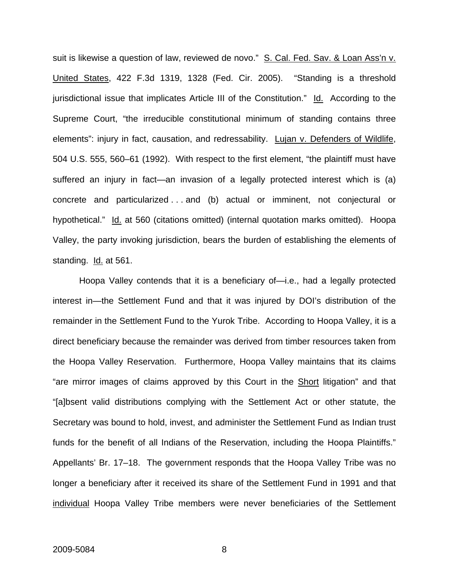suit is likewise a question of law, reviewed de novo." S. Cal. Fed. Sav. & Loan Ass'n v. United States, 422 F.3d 1319, 1328 (Fed. Cir. 2005). "Standing is a threshold jurisdictional issue that implicates Article III of the Constitution." Id. According to the Supreme Court, "the irreducible constitutional minimum of standing contains three elements": injury in fact, causation, and redressability. Lujan v. Defenders of Wildlife, 504 U.S. 555, 560–61 (1992). With respect to the first element, "the plaintiff must have suffered an injury in fact—an invasion of a legally protected interest which is (a) concrete and particularized . . . and (b) actual or imminent, not conjectural or hypothetical." Id. at 560 (citations omitted) (internal quotation marks omitted). Hoopa Valley, the party invoking jurisdiction, bears the burden of establishing the elements of standing. Id. at 561.

Hoopa Valley contends that it is a beneficiary of—i.e., had a legally protected interest in—the Settlement Fund and that it was injured by DOI's distribution of the remainder in the Settlement Fund to the Yurok Tribe. According to Hoopa Valley, it is a direct beneficiary because the remainder was derived from timber resources taken from the Hoopa Valley Reservation. Furthermore, Hoopa Valley maintains that its claims "are mirror images of claims approved by this Court in the Short litigation" and that "[a]bsent valid distributions complying with the Settlement Act or other statute, the Secretary was bound to hold, invest, and administer the Settlement Fund as Indian trust funds for the benefit of all Indians of the Reservation, including the Hoopa Plaintiffs." Appellants' Br. 17–18. The government responds that the Hoopa Valley Tribe was no longer a beneficiary after it received its share of the Settlement Fund in 1991 and that individual Hoopa Valley Tribe members were never beneficiaries of the Settlement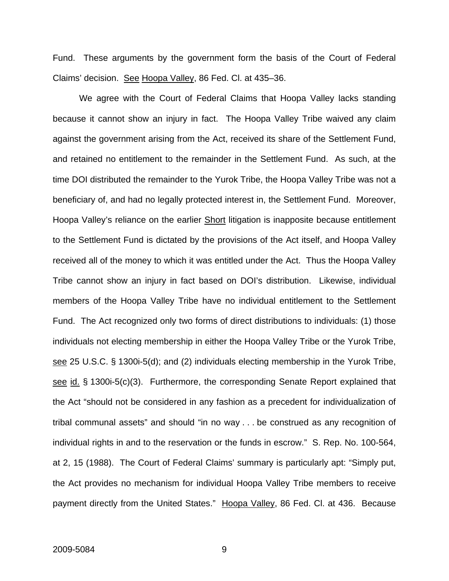Fund. These arguments by the government form the basis of the Court of Federal Claims' decision. See Hoopa Valley, 86 Fed. Cl. at 435–36.

We agree with the Court of Federal Claims that Hoopa Valley lacks standing because it cannot show an injury in fact. The Hoopa Valley Tribe waived any claim against the government arising from the Act, received its share of the Settlement Fund, and retained no entitlement to the remainder in the Settlement Fund. As such, at the time DOI distributed the remainder to the Yurok Tribe, the Hoopa Valley Tribe was not a beneficiary of, and had no legally protected interest in, the Settlement Fund. Moreover, Hoopa Valley's reliance on the earlier **Short litigation is inapposite because entitlement** to the Settlement Fund is dictated by the provisions of the Act itself, and Hoopa Valley received all of the money to which it was entitled under the Act. Thus the Hoopa Valley Tribe cannot show an injury in fact based on DOI's distribution. Likewise, individual members of the Hoopa Valley Tribe have no individual entitlement to the Settlement Fund. The Act recognized only two forms of direct distributions to individuals: (1) those individuals not electing membership in either the Hoopa Valley Tribe or the Yurok Tribe, see 25 U.S.C. § 1300i-5(d); and (2) individuals electing membership in the Yurok Tribe, see id. § 1300i-5(c)(3). Furthermore, the corresponding Senate Report explained that the Act "should not be considered in any fashion as a precedent for individualization of tribal communal assets" and should "in no way . . . be construed as any recognition of individual rights in and to the reservation or the funds in escrow." S. Rep. No. 100-564, at 2, 15 (1988). The Court of Federal Claims' summary is particularly apt: "Simply put, the Act provides no mechanism for individual Hoopa Valley Tribe members to receive payment directly from the United States." Hoopa Valley, 86 Fed. Cl. at 436. Because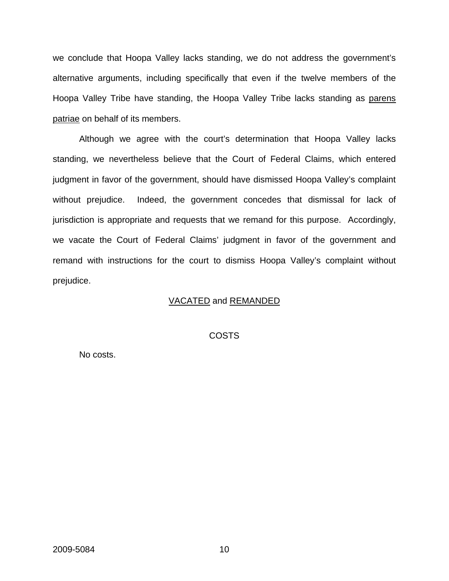we conclude that Hoopa Valley lacks standing, we do not address the government's alternative arguments, including specifically that even if the twelve members of the Hoopa Valley Tribe have standing, the Hoopa Valley Tribe lacks standing as parens patriae on behalf of its members.

Although we agree with the court's determination that Hoopa Valley lacks standing, we nevertheless believe that the Court of Federal Claims, which entered judgment in favor of the government, should have dismissed Hoopa Valley's complaint without prejudice. Indeed, the government concedes that dismissal for lack of jurisdiction is appropriate and requests that we remand for this purpose. Accordingly, we vacate the Court of Federal Claims' judgment in favor of the government and remand with instructions for the court to dismiss Hoopa Valley's complaint without prejudice.

#### VACATED and REMANDED

#### COSTS

No costs.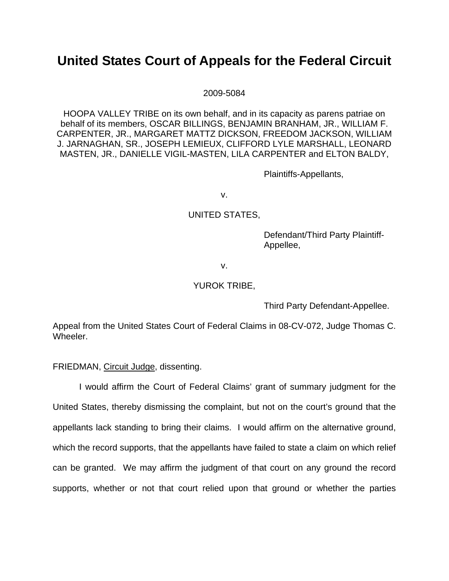## **United States Court of Appeals for the Federal Circuit**

2009-5084

HOOPA VALLEY TRIBE on its own behalf, and in its capacity as parens patriae on behalf of its members, OSCAR BILLINGS, BENJAMIN BRANHAM, JR., WILLIAM F. CARPENTER, JR., MARGARET MATTZ DICKSON, FREEDOM JACKSON, WILLIAM J. JARNAGHAN, SR., JOSEPH LEMIEUX, CLIFFORD LYLE MARSHALL, LEONARD MASTEN, JR., DANIELLE VIGIL-MASTEN, LILA CARPENTER and ELTON BALDY,

Plaintiffs-Appellants,

v.

### UNITED STATES,

Defendant/Third Party Plaintiff-Appellee,

v.

#### YUROK TRIBE,

Third Party Defendant-Appellee.

Appeal from the United States Court of Federal Claims in 08-CV-072, Judge Thomas C. Wheeler.

FRIEDMAN, Circuit Judge, dissenting.

I would affirm the Court of Federal Claims' grant of summary judgment for the United States, thereby dismissing the complaint, but not on the court's ground that the appellants lack standing to bring their claims. I would affirm on the alternative ground, which the record supports, that the appellants have failed to state a claim on which relief can be granted. We may affirm the judgment of that court on any ground the record supports, whether or not that court relied upon that ground or whether the parties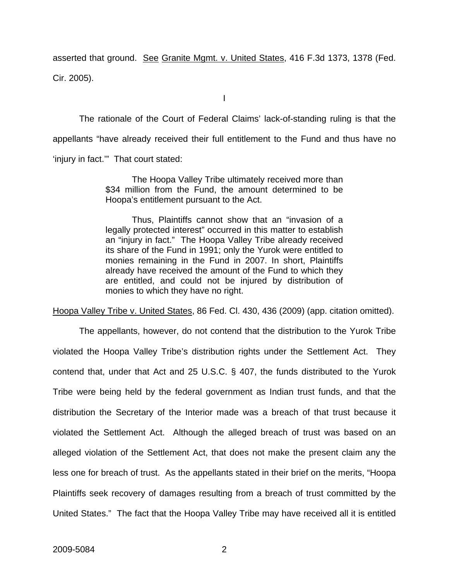asserted that ground. See Granite Mgmt. v. United States, 416 F.3d 1373, 1378 (Fed. Cir. 2005).

I

The rationale of the Court of Federal Claims' lack-of-standing ruling is that the appellants "have already received their full entitlement to the Fund and thus have no 'injury in fact.'" That court stated:

> The Hoopa Valley Tribe ultimately received more than \$34 million from the Fund, the amount determined to be Hoopa's entitlement pursuant to the Act.

> Thus, Plaintiffs cannot show that an "invasion of a legally protected interest" occurred in this matter to establish an "injury in fact." The Hoopa Valley Tribe already received its share of the Fund in 1991; only the Yurok were entitled to monies remaining in the Fund in 2007. In short, Plaintiffs already have received the amount of the Fund to which they are entitled, and could not be injured by distribution of monies to which they have no right.

Hoopa Valley Tribe v. United States, 86 Fed. Cl. 430, 436 (2009) (app. citation omitted).

The appellants, however, do not contend that the distribution to the Yurok Tribe violated the Hoopa Valley Tribe's distribution rights under the Settlement Act. They contend that, under that Act and 25 U.S.C. § 407, the funds distributed to the Yurok Tribe were being held by the federal government as Indian trust funds, and that the distribution the Secretary of the Interior made was a breach of that trust because it violated the Settlement Act. Although the alleged breach of trust was based on an alleged violation of the Settlement Act, that does not make the present claim any the less one for breach of trust. As the appellants stated in their brief on the merits, "Hoopa Plaintiffs seek recovery of damages resulting from a breach of trust committed by the United States." The fact that the Hoopa Valley Tribe may have received all it is entitled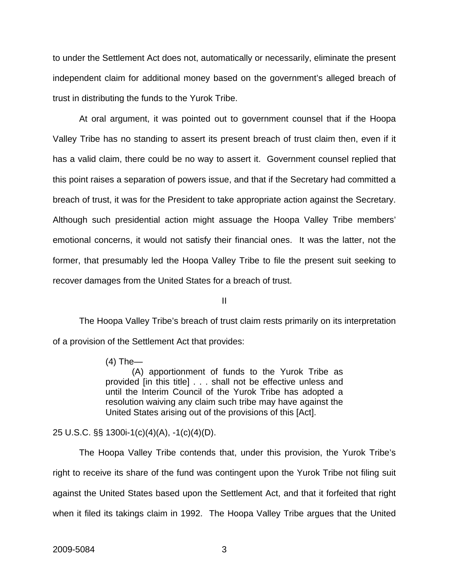to under the Settlement Act does not, automatically or necessarily, eliminate the present independent claim for additional money based on the government's alleged breach of trust in distributing the funds to the Yurok Tribe.

At oral argument, it was pointed out to government counsel that if the Hoopa Valley Tribe has no standing to assert its present breach of trust claim then, even if it has a valid claim, there could be no way to assert it. Government counsel replied that this point raises a separation of powers issue, and that if the Secretary had committed a breach of trust, it was for the President to take appropriate action against the Secretary. Although such presidential action might assuage the Hoopa Valley Tribe members' emotional concerns, it would not satisfy their financial ones. It was the latter, not the former, that presumably led the Hoopa Valley Tribe to file the present suit seeking to recover damages from the United States for a breach of trust.

II

 The Hoopa Valley Tribe's breach of trust claim rests primarily on its interpretation of a provision of the Settlement Act that provides:

> (4) The— (A) apportionment of funds to the Yurok Tribe as provided [in this title] . . . shall not be effective unless and until the Interim Council of the Yurok Tribe has adopted a resolution waiving any claim such tribe may have against the United States arising out of the provisions of this [Act].

25 U.S.C. §§ 1300i-1(c)(4)(A), -1(c)(4)(D).

 The Hoopa Valley Tribe contends that, under this provision, the Yurok Tribe's right to receive its share of the fund was contingent upon the Yurok Tribe not filing suit against the United States based upon the Settlement Act, and that it forfeited that right when it filed its takings claim in 1992. The Hoopa Valley Tribe argues that the United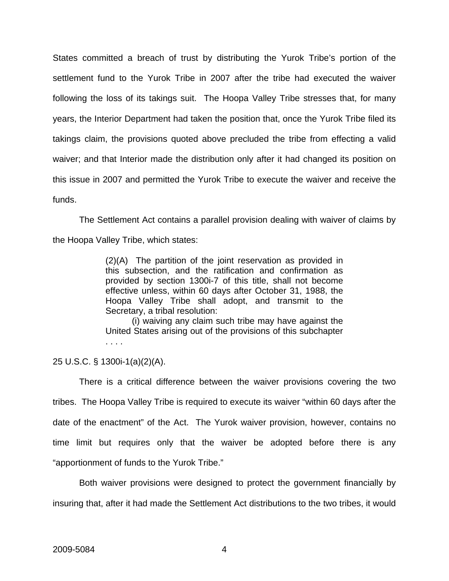States committed a breach of trust by distributing the Yurok Tribe's portion of the settlement fund to the Yurok Tribe in 2007 after the tribe had executed the waiver following the loss of its takings suit. The Hoopa Valley Tribe stresses that, for many years, the Interior Department had taken the position that, once the Yurok Tribe filed its takings claim, the provisions quoted above precluded the tribe from effecting a valid waiver; and that Interior made the distribution only after it had changed its position on this issue in 2007 and permitted the Yurok Tribe to execute the waiver and receive the funds.

 The Settlement Act contains a parallel provision dealing with waiver of claims by the Hoopa Valley Tribe, which states:

> (2)(A) The partition of the joint reservation as provided in this subsection, and the ratification and confirmation as provided by section 1300i-7 of this title, shall not become effective unless, within 60 days after October 31, 1988, the Hoopa Valley Tribe shall adopt, and transmit to the Secretary, a tribal resolution:

> (i) waiving any claim such tribe may have against the United States arising out of the provisions of this subchapter . . . .

25 U.S.C. § 1300i-1(a)(2)(A).

 There is a critical difference between the waiver provisions covering the two tribes. The Hoopa Valley Tribe is required to execute its waiver "within 60 days after the date of the enactment" of the Act. The Yurok waiver provision, however, contains no time limit but requires only that the waiver be adopted before there is any "apportionment of funds to the Yurok Tribe."

Both waiver provisions were designed to protect the government financially by insuring that, after it had made the Settlement Act distributions to the two tribes, it would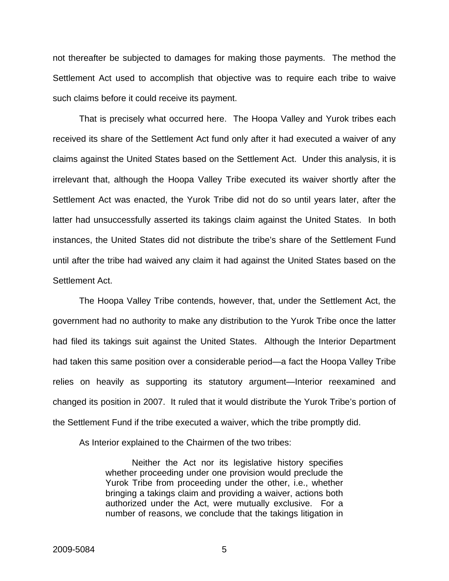not thereafter be subjected to damages for making those payments. The method the Settlement Act used to accomplish that objective was to require each tribe to waive such claims before it could receive its payment.

That is precisely what occurred here. The Hoopa Valley and Yurok tribes each received its share of the Settlement Act fund only after it had executed a waiver of any claims against the United States based on the Settlement Act. Under this analysis, it is irrelevant that, although the Hoopa Valley Tribe executed its waiver shortly after the Settlement Act was enacted, the Yurok Tribe did not do so until years later, after the latter had unsuccessfully asserted its takings claim against the United States. In both instances, the United States did not distribute the tribe's share of the Settlement Fund until after the tribe had waived any claim it had against the United States based on the Settlement Act.

The Hoopa Valley Tribe contends, however, that, under the Settlement Act, the government had no authority to make any distribution to the Yurok Tribe once the latter had filed its takings suit against the United States. Although the Interior Department had taken this same position over a considerable period—a fact the Hoopa Valley Tribe relies on heavily as supporting its statutory argument—Interior reexamined and changed its position in 2007. It ruled that it would distribute the Yurok Tribe's portion of the Settlement Fund if the tribe executed a waiver, which the tribe promptly did.

As Interior explained to the Chairmen of the two tribes:

Neither the Act nor its legislative history specifies whether proceeding under one provision would preclude the Yurok Tribe from proceeding under the other, i.e., whether bringing a takings claim and providing a waiver, actions both authorized under the Act, were mutually exclusive. For a number of reasons, we conclude that the takings litigation in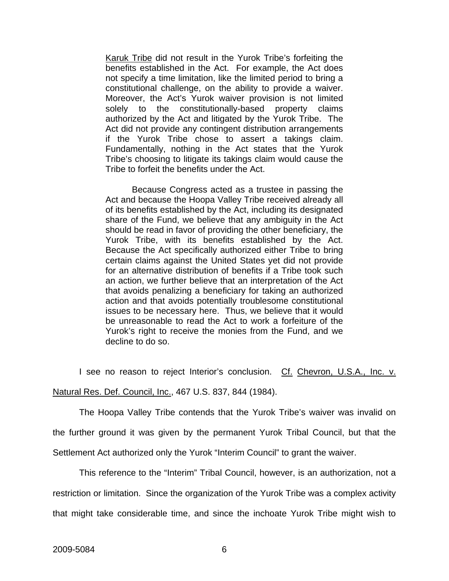Karuk Tribe did not result in the Yurok Tribe's forfeiting the benefits established in the Act. For example, the Act does not specify a time limitation, like the limited period to bring a constitutional challenge, on the ability to provide a waiver. Moreover, the Act's Yurok waiver provision is not limited solely to the constitutionally-based property claims authorized by the Act and litigated by the Yurok Tribe. The Act did not provide any contingent distribution arrangements if the Yurok Tribe chose to assert a takings claim. Fundamentally, nothing in the Act states that the Yurok Tribe's choosing to litigate its takings claim would cause the Tribe to forfeit the benefits under the Act.

Because Congress acted as a trustee in passing the Act and because the Hoopa Valley Tribe received already all of its benefits established by the Act, including its designated share of the Fund, we believe that any ambiguity in the Act should be read in favor of providing the other beneficiary, the Yurok Tribe, with its benefits established by the Act. Because the Act specifically authorized either Tribe to bring certain claims against the United States yet did not provide for an alternative distribution of benefits if a Tribe took such an action, we further believe that an interpretation of the Act that avoids penalizing a beneficiary for taking an authorized action and that avoids potentially troublesome constitutional issues to be necessary here. Thus, we believe that it would be unreasonable to read the Act to work a forfeiture of the Yurok's right to receive the monies from the Fund, and we decline to do so.

I see no reason to reject Interior's conclusion. Cf. Chevron, U.S.A., Inc. v.

Natural Res. Def. Council, Inc., 467 U.S. 837, 844 (1984).

The Hoopa Valley Tribe contends that the Yurok Tribe's waiver was invalid on the further ground it was given by the permanent Yurok Tribal Council, but that the

Settlement Act authorized only the Yurok "Interim Council" to grant the waiver.

This reference to the "Interim" Tribal Council, however, is an authorization, not a restriction or limitation. Since the organization of the Yurok Tribe was a complex activity that might take considerable time, and since the inchoate Yurok Tribe might wish to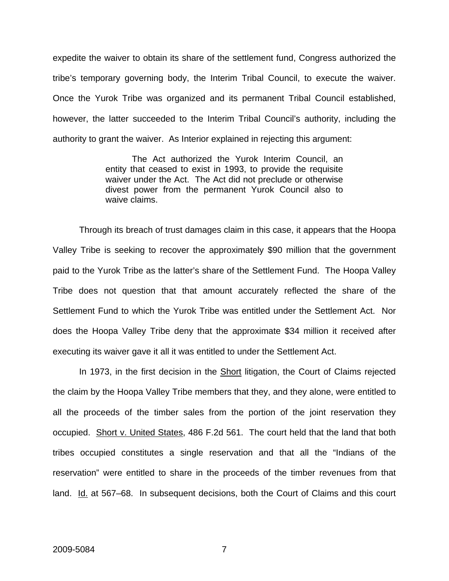expedite the waiver to obtain its share of the settlement fund, Congress authorized the tribe's temporary governing body, the Interim Tribal Council, to execute the waiver. Once the Yurok Tribe was organized and its permanent Tribal Council established, however, the latter succeeded to the Interim Tribal Council's authority, including the authority to grant the waiver. As Interior explained in rejecting this argument:

> The Act authorized the Yurok Interim Council, an entity that ceased to exist in 1993, to provide the requisite waiver under the Act. The Act did not preclude or otherwise divest power from the permanent Yurok Council also to waive claims.

Through its breach of trust damages claim in this case, it appears that the Hoopa Valley Tribe is seeking to recover the approximately \$90 million that the government paid to the Yurok Tribe as the latter's share of the Settlement Fund. The Hoopa Valley Tribe does not question that that amount accurately reflected the share of the Settlement Fund to which the Yurok Tribe was entitled under the Settlement Act. Nor does the Hoopa Valley Tribe deny that the approximate \$34 million it received after executing its waiver gave it all it was entitled to under the Settlement Act.

In 1973, in the first decision in the **Short litigation**, the Court of Claims rejected the claim by the Hoopa Valley Tribe members that they, and they alone, were entitled to all the proceeds of the timber sales from the portion of the joint reservation they occupied. Short v. United States, 486 F.2d 561. The court held that the land that both tribes occupied constitutes a single reservation and that all the "Indians of the reservation" were entitled to share in the proceeds of the timber revenues from that land. Id. at 567–68. In subsequent decisions, both the Court of Claims and this court